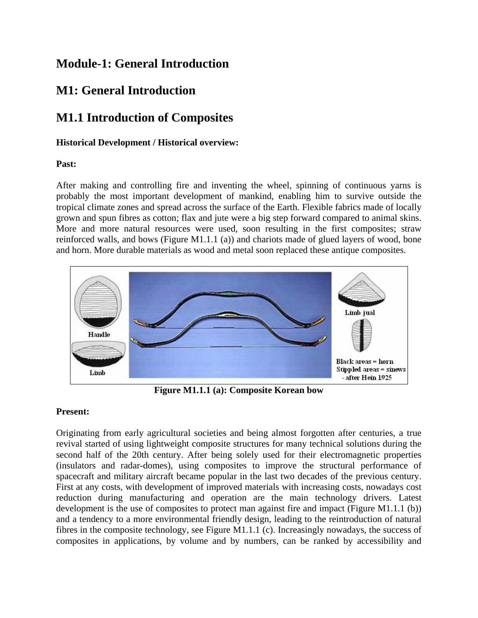# **Module-1: General Introduction**

# **M1: General Introduction**

# **M1.1 Introduction of Composites**

#### **Historical Development / Historical overview:**

#### **Past:**

After making and controlling fire and inventing the wheel, spinning of continuous yarns is probably the most important development of mankind, enabling him to survive outside the tropical climate zones and spread across the surface of the Earth. Flexible fabrics made of locally grown and spun fibres as cotton; flax and jute were a big step forward compared to animal skins. More and more natural resources were used, soon resulting in the first composites; straw reinforced walls, and bows (Figure M1.1.1 (a)) and chariots made of glued layers of wood, bone and horn. More durable materials as wood and metal soon replaced these antique composites.



**Figure M1.1.1 (a): Composite Korean bow** 

#### **Present:**

Originating from early agricultural societies and being almost forgotten after centuries, a true revival started of using lightweight composite structures for many technical solutions during the second half of the 20th century. After being solely used for their electromagnetic properties (insulators and radar-domes), using composites to improve the structural performance of spacecraft and military aircraft became popular in the last two decades of the previous century. First at any costs, with development of improved materials with increasing costs, nowadays cost reduction during manufacturing and operation are the main technology drivers. Latest development is the use of composites to protect man against fire and impact (Figure M1.1.1 (b)) and a tendency to a more environmental friendly design, leading to the reintroduction of natural fibres in the composite technology, see Figure M1.1.1 (c). Increasingly nowadays, the success of composites in applications, by volume and by numbers, can be ranked by accessibility and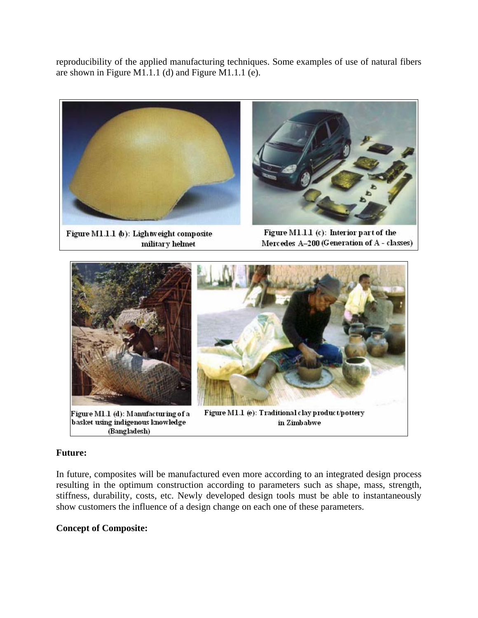reproducibility of the applied manufacturing techniques. Some examples of use of natural fibers are shown in Figure M1.1.1 (d) and Figure M1.1.1 (e).



Figure M1.1.1 (b): Lightweight composite military helmet



Figure M1.11 (c): Interior part of the Mercedes A-200 (Generation of A - classes)



#### **Future:**

In future, composites will be manufactured even more according to an integrated design process resulting in the optimum construction according to parameters such as shape, mass, strength, stiffness, durability, costs, etc. Newly developed design tools must be able to instantaneously show customers the influence of a design change on each one of these parameters.

#### **Concept of Composite:**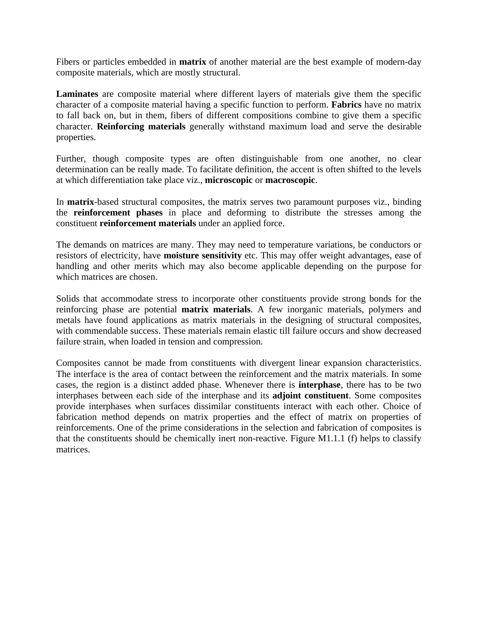Fibers or particles embedded in **matrix** of another material are the best example of modern-day composite materials, which are mostly structural.

**Laminates** are composite material where different layers of materials give them the specific character of a composite material having a specific function to perform. **Fabrics** have no matrix to fall back on, but in them, fibers of different compositions combine to give them a specific character. **Reinforcing materials** generally withstand maximum load and serve the desirable properties.

Further, though composite types are often distinguishable from one another, no clear determination can be really made. To facilitate definition, the accent is often shifted to the levels at which differentiation take place viz., **microscopic** or **macroscopic**.

In **matrix**-based structural composites, the matrix serves two paramount purposes viz., binding the **reinforcement phases** in place and deforming to distribute the stresses among the constituent **reinforcement materials** under an applied force.

The demands on matrices are many. They may need to temperature variations, be conductors or resistors of electricity, have **moisture sensitivity** etc. This may offer weight advantages, ease of handling and other merits which may also become applicable depending on the purpose for which matrices are chosen.

Solids that accommodate stress to incorporate other constituents provide strong bonds for the reinforcing phase are potential **matrix materials**. A few inorganic materials, polymers and metals have found applications as matrix materials in the designing of structural composites, with commendable success. These materials remain elastic till failure occurs and show decreased failure strain, when loaded in tension and compression.

Composites cannot be made from constituents with divergent linear expansion characteristics. The interface is the area of contact between the reinforcement and the matrix materials. In some cases, the region is a distinct added phase. Whenever there is **interphase**, there has to be two interphases between each side of the interphase and its **adjoint constituent**. Some composites provide interphases when surfaces dissimilar constituents interact with each other. Choice of fabrication method depends on matrix properties and the effect of matrix on properties of reinforcements. One of the prime considerations in the selection and fabrication of composites is that the constituents should be chemically inert non-reactive. Figure M1.1.1 (f) helps to classify matrices.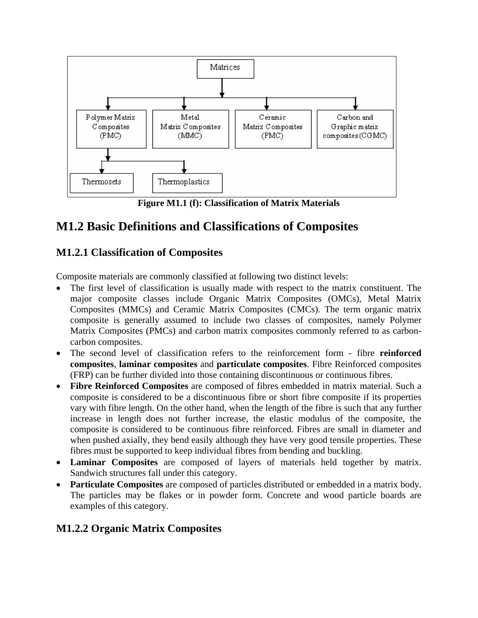

**Figure M1.1 (f): Classification of Matrix Materials** 

# **M1.2 Basic Definitions and Classifications of Composites**

# **M1.2.1 Classification of Composites**

Composite materials are commonly classified at following two distinct levels:

- The first level of classification is usually made with respect to the matrix constituent. The major composite classes include Organic Matrix Composites (OMCs), Metal Matrix Composites (MMCs) and Ceramic Matrix Composites (CMCs). The term organic matrix composite is generally assumed to include two classes of composites, namely Polymer Matrix Composites (PMCs) and carbon matrix composites commonly referred to as carboncarbon composites.
- The second level of classification refers to the reinforcement form fibre **reinforced composites**, **laminar composites** and **particulate composites**. Fibre Reinforced composites (FRP) can be further divided into those containing discontinuous or continuous fibres.
- **Fibre Reinforced Composites** are composed of fibres embedded in matrix material. Such a composite is considered to be a discontinuous fibre or short fibre composite if its properties vary with fibre length. On the other hand, when the length of the fibre is such that any further increase in length does not further increase, the elastic modulus of the composite, the composite is considered to be continuous fibre reinforced. Fibres are small in diameter and when pushed axially, they bend easily although they have very good tensile properties. These fibres must be supported to keep individual fibres from bending and buckling.
- **Laminar Composites** are composed of layers of materials held together by matrix. Sandwich structures fall under this category.
- **Particulate Composites** are composed of particles distributed or embedded in a matrix body. The particles may be flakes or in powder form. Concrete and wood particle boards are examples of this category.

# **M1.2.2 Organic Matrix Composites**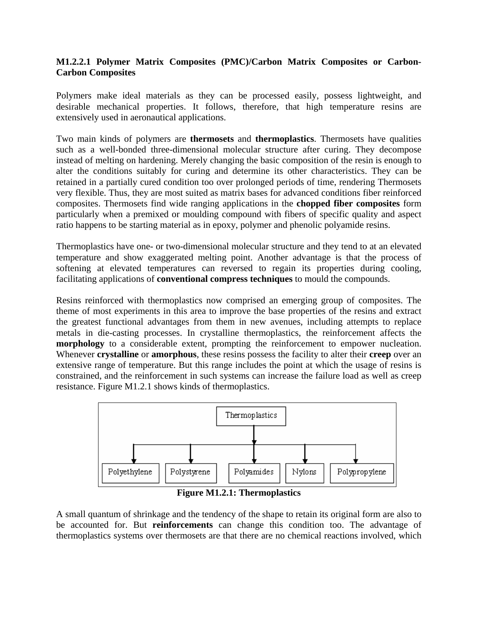#### **M1.2.2.1 Polymer Matrix Composites (PMC)/Carbon Matrix Composites or Carbon-Carbon Composites**

Polymers make ideal materials as they can be processed easily, possess lightweight, and desirable mechanical properties. It follows, therefore, that high temperature resins are extensively used in aeronautical applications.

Two main kinds of polymers are **thermosets** and **thermoplastics**. Thermosets have qualities such as a well-bonded three-dimensional molecular structure after curing. They decompose instead of melting on hardening. Merely changing the basic composition of the resin is enough to alter the conditions suitably for curing and determine its other characteristics. They can be retained in a partially cured condition too over prolonged periods of time, rendering Thermosets very flexible. Thus, they are most suited as matrix bases for advanced conditions fiber reinforced composites. Thermosets find wide ranging applications in the **chopped fiber composites** form particularly when a premixed or moulding compound with fibers of specific quality and aspect ratio happens to be starting material as in epoxy, polymer and phenolic polyamide resins.

Thermoplastics have one- or two-dimensional molecular structure and they tend to at an elevated temperature and show exaggerated melting point. Another advantage is that the process of softening at elevated temperatures can reversed to regain its properties during cooling, facilitating applications of **conventional compress techniques** to mould the compounds.

Resins reinforced with thermoplastics now comprised an emerging group of composites. The theme of most experiments in this area to improve the base properties of the resins and extract the greatest functional advantages from them in new avenues, including attempts to replace metals in die-casting processes. In crystalline thermoplastics, the reinforcement affects the **morphology** to a considerable extent, prompting the reinforcement to empower nucleation. Whenever **crystalline** or **amorphous**, these resins possess the facility to alter their **creep** over an extensive range of temperature. But this range includes the point at which the usage of resins is constrained, and the reinforcement in such systems can increase the failure load as well as creep resistance. Figure M1.2.1 shows kinds of thermoplastics.



**Figure M1.2.1: Thermoplastics** 

A small quantum of shrinkage and the tendency of the shape to retain its original form are also to be accounted for. But **reinforcements** can change this condition too. The advantage of thermoplastics systems over thermosets are that there are no chemical reactions involved, which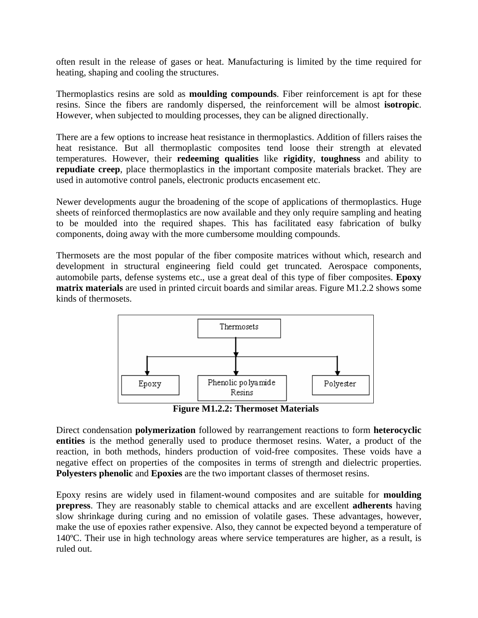often result in the release of gases or heat. Manufacturing is limited by the time required for heating, shaping and cooling the structures.

Thermoplastics resins are sold as **moulding compounds**. Fiber reinforcement is apt for these resins. Since the fibers are randomly dispersed, the reinforcement will be almost **isotropic**. However, when subjected to moulding processes, they can be aligned directionally.

There are a few options to increase heat resistance in thermoplastics. Addition of fillers raises the heat resistance. But all thermoplastic composites tend loose their strength at elevated temperatures. However, their **redeeming qualities** like **rigidity**, **toughness** and ability to **repudiate creep**, place thermoplastics in the important composite materials bracket. They are used in automotive control panels, electronic products encasement etc.

Newer developments augur the broadening of the scope of applications of thermoplastics. Huge sheets of reinforced thermoplastics are now available and they only require sampling and heating to be moulded into the required shapes. This has facilitated easy fabrication of bulky components, doing away with the more cumbersome moulding compounds.

Thermosets are the most popular of the fiber composite matrices without which, research and development in structural engineering field could get truncated. Aerospace components, automobile parts, defense systems etc., use a great deal of this type of fiber composites. **Epoxy matrix materials** are used in printed circuit boards and similar areas. Figure M1.2.2 shows some kinds of thermosets.



**Figure M1.2.2: Thermoset Materials** 

Direct condensation **polymerization** followed by rearrangement reactions to form **heterocyclic entities** is the method generally used to produce thermoset resins. Water, a product of the reaction, in both methods, hinders production of void-free composites. These voids have a negative effect on properties of the composites in terms of strength and dielectric properties. **Polyesters phenolic** and **Epoxies** are the two important classes of thermoset resins.

Epoxy resins are widely used in filament-wound composites and are suitable for **moulding prepress**. They are reasonably stable to chemical attacks and are excellent **adherents** having slow shrinkage during curing and no emission of volatile gases. These advantages, however, make the use of epoxies rather expensive. Also, they cannot be expected beyond a temperature of 140ºC. Their use in high technology areas where service temperatures are higher, as a result, is ruled out.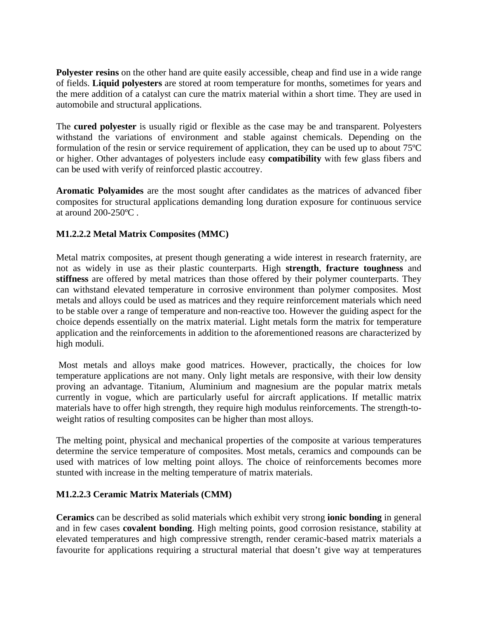**Polyester resins** on the other hand are quite easily accessible, cheap and find use in a wide range of fields. **Liquid polyesters** are stored at room temperature for months, sometimes for years and the mere addition of a catalyst can cure the matrix material within a short time. They are used in automobile and structural applications.

The **cured polyester** is usually rigid or flexible as the case may be and transparent. Polyesters withstand the variations of environment and stable against chemicals. Depending on the formulation of the resin or service requirement of application, they can be used up to about 75ºC or higher. Other advantages of polyesters include easy **compatibility** with few glass fibers and can be used with verify of reinforced plastic accoutrey.

**Aromatic Polyamides** are the most sought after candidates as the matrices of advanced fiber composites for structural applications demanding long duration exposure for continuous service at around 200-250ºC .

#### **M1.2.2.2 Metal Matrix Composites (MMC)**

Metal matrix composites, at present though generating a wide interest in research fraternity, are not as widely in use as their plastic counterparts. High **strength**, **fracture toughness** and **stiffness** are offered by metal matrices than those offered by their polymer counterparts. They can withstand elevated temperature in corrosive environment than polymer composites. Most metals and alloys could be used as matrices and they require reinforcement materials which need to be stable over a range of temperature and non-reactive too. However the guiding aspect for the choice depends essentially on the matrix material. Light metals form the matrix for temperature application and the reinforcements in addition to the aforementioned reasons are characterized by high moduli.

 Most metals and alloys make good matrices. However, practically, the choices for low temperature applications are not many. Only light metals are responsive, with their low density proving an advantage. Titanium, Aluminium and magnesium are the popular matrix metals currently in vogue, which are particularly useful for aircraft applications. If metallic matrix materials have to offer high strength, they require high modulus reinforcements. The strength-toweight ratios of resulting composites can be higher than most alloys.

The melting point, physical and mechanical properties of the composite at various temperatures determine the service temperature of composites. Most metals, ceramics and compounds can be used with matrices of low melting point alloys. The choice of reinforcements becomes more stunted with increase in the melting temperature of matrix materials.

#### **M1.2.2.3 Ceramic Matrix Materials (CMM)**

**Ceramics** can be described as solid materials which exhibit very strong **ionic bonding** in general and in few cases **covalent bonding**. High melting points, good corrosion resistance, stability at elevated temperatures and high compressive strength, render ceramic-based matrix materials a favourite for applications requiring a structural material that doesn't give way at temperatures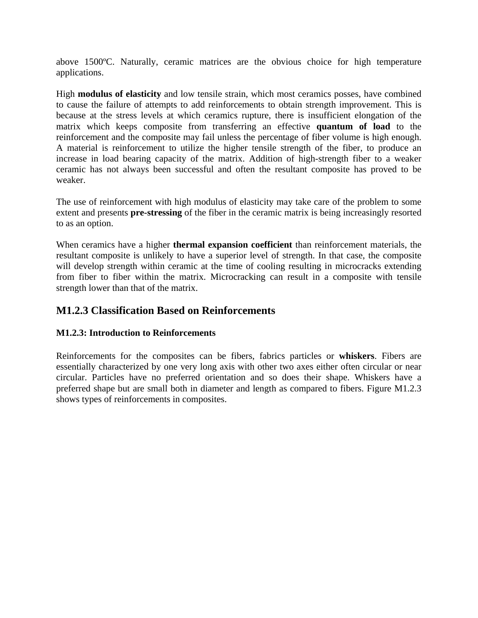above 1500ºC. Naturally, ceramic matrices are the obvious choice for high temperature applications.

High **modulus of elasticity** and low tensile strain, which most ceramics posses, have combined to cause the failure of attempts to add reinforcements to obtain strength improvement. This is because at the stress levels at which ceramics rupture, there is insufficient elongation of the matrix which keeps composite from transferring an effective **quantum of load** to the reinforcement and the composite may fail unless the percentage of fiber volume is high enough. A material is reinforcement to utilize the higher tensile strength of the fiber, to produce an increase in load bearing capacity of the matrix. Addition of high-strength fiber to a weaker ceramic has not always been successful and often the resultant composite has proved to be weaker.

The use of reinforcement with high modulus of elasticity may take care of the problem to some extent and presents **pre-stressing** of the fiber in the ceramic matrix is being increasingly resorted to as an option.

When ceramics have a higher **thermal expansion coefficient** than reinforcement materials, the resultant composite is unlikely to have a superior level of strength. In that case, the composite will develop strength within ceramic at the time of cooling resulting in microcracks extending from fiber to fiber within the matrix. Microcracking can result in a composite with tensile strength lower than that of the matrix.

### **M1.2.3 Classification Based on Reinforcements**

#### **M1.2.3: Introduction to Reinforcements**

Reinforcements for the composites can be fibers, fabrics particles or **whiskers**. Fibers are essentially characterized by one very long axis with other two axes either often circular or near circular. Particles have no preferred orientation and so does their shape. Whiskers have a preferred shape but are small both in diameter and length as compared to fibers. Figure M1.2.3 shows types of reinforcements in composites.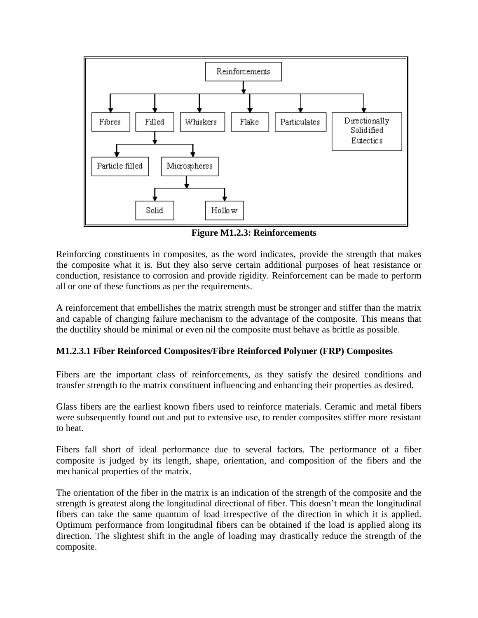

**Figure M1.2.3: Reinforcements** 

Reinforcing constituents in composites, as the word indicates, provide the strength that makes the composite what it is. But they also serve certain additional purposes of heat resistance or conduction, resistance to corrosion and provide rigidity. Reinforcement can be made to perform all or one of these functions as per the requirements.

A reinforcement that embellishes the matrix strength must be stronger and stiffer than the matrix and capable of changing failure mechanism to the advantage of the composite. This means that the ductility should be minimal or even nil the composite must behave as brittle as possible.

#### **M1.2.3.1 Fiber Reinforced Composites/Fibre Reinforced Polymer (FRP) Composites**

Fibers are the important class of reinforcements, as they satisfy the desired conditions and transfer strength to the matrix constituent influencing and enhancing their properties as desired.

Glass fibers are the earliest known fibers used to reinforce materials. Ceramic and metal fibers were subsequently found out and put to extensive use, to render composites stiffer more resistant to heat.

Fibers fall short of ideal performance due to several factors. The performance of a fiber composite is judged by its length, shape, orientation, and composition of the fibers and the mechanical properties of the matrix.

The orientation of the fiber in the matrix is an indication of the strength of the composite and the strength is greatest along the longitudinal directional of fiber. This doesn't mean the longitudinal fibers can take the same quantum of load irrespective of the direction in which it is applied. Optimum performance from longitudinal fibers can be obtained if the load is applied along its direction. The slightest shift in the angle of loading may drastically reduce the strength of the composite.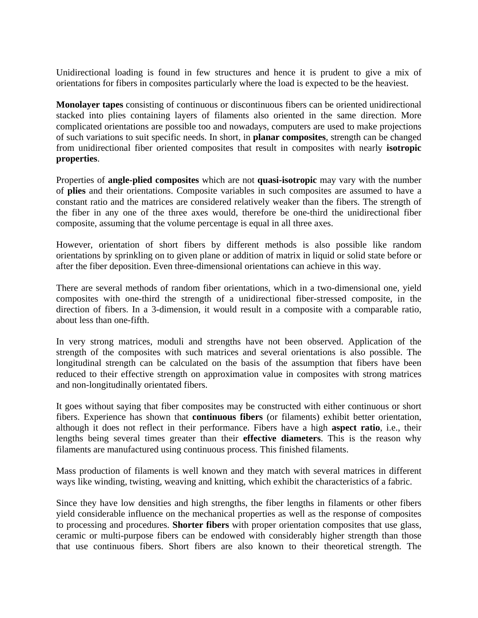Unidirectional loading is found in few structures and hence it is prudent to give a mix of orientations for fibers in composites particularly where the load is expected to be the heaviest.

**Monolayer tapes** consisting of continuous or discontinuous fibers can be oriented unidirectional stacked into plies containing layers of filaments also oriented in the same direction. More complicated orientations are possible too and nowadays, computers are used to make projections of such variations to suit specific needs. In short, in **planar composites**, strength can be changed from unidirectional fiber oriented composites that result in composites with nearly **isotropic properties**.

Properties of **angle-plied composites** which are not **quasi-isotropic** may vary with the number of **plies** and their orientations. Composite variables in such composites are assumed to have a constant ratio and the matrices are considered relatively weaker than the fibers. The strength of the fiber in any one of the three axes would, therefore be one-third the unidirectional fiber composite, assuming that the volume percentage is equal in all three axes.

However, orientation of short fibers by different methods is also possible like random orientations by sprinkling on to given plane or addition of matrix in liquid or solid state before or after the fiber deposition. Even three-dimensional orientations can achieve in this way.

There are several methods of random fiber orientations, which in a two-dimensional one, yield composites with one-third the strength of a unidirectional fiber-stressed composite, in the direction of fibers. In a 3-dimension, it would result in a composite with a comparable ratio, about less than one-fifth.

In very strong matrices, moduli and strengths have not been observed. Application of the strength of the composites with such matrices and several orientations is also possible. The longitudinal strength can be calculated on the basis of the assumption that fibers have been reduced to their effective strength on approximation value in composites with strong matrices and non-longitudinally orientated fibers.

It goes without saying that fiber composites may be constructed with either continuous or short fibers. Experience has shown that **continuous fibers** (or filaments) exhibit better orientation, although it does not reflect in their performance. Fibers have a high **aspect ratio**, i.e., their lengths being several times greater than their **effective diameters**. This is the reason why filaments are manufactured using continuous process. This finished filaments.

Mass production of filaments is well known and they match with several matrices in different ways like winding, twisting, weaving and knitting, which exhibit the characteristics of a fabric.

Since they have low densities and high strengths, the fiber lengths in filaments or other fibers yield considerable influence on the mechanical properties as well as the response of composites to processing and procedures. **Shorter fibers** with proper orientation composites that use glass, ceramic or multi-purpose fibers can be endowed with considerably higher strength than those that use continuous fibers. Short fibers are also known to their theoretical strength. The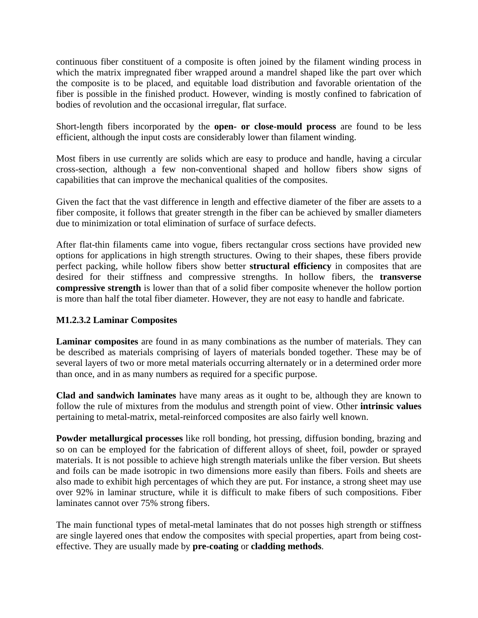continuous fiber constituent of a composite is often joined by the filament winding process in which the matrix impregnated fiber wrapped around a mandrel shaped like the part over which the composite is to be placed, and equitable load distribution and favorable orientation of the fiber is possible in the finished product. However, winding is mostly confined to fabrication of bodies of revolution and the occasional irregular, flat surface.

Short-length fibers incorporated by the **open- or close-mould process** are found to be less efficient, although the input costs are considerably lower than filament winding.

Most fibers in use currently are solids which are easy to produce and handle, having a circular cross-section, although a few non-conventional shaped and hollow fibers show signs of capabilities that can improve the mechanical qualities of the composites.

Given the fact that the vast difference in length and effective diameter of the fiber are assets to a fiber composite, it follows that greater strength in the fiber can be achieved by smaller diameters due to minimization or total elimination of surface of surface defects.

After flat-thin filaments came into vogue, fibers rectangular cross sections have provided new options for applications in high strength structures. Owing to their shapes, these fibers provide perfect packing, while hollow fibers show better **structural efficiency** in composites that are desired for their stiffness and compressive strengths. In hollow fibers, the **transverse compressive strength** is lower than that of a solid fiber composite whenever the hollow portion is more than half the total fiber diameter. However, they are not easy to handle and fabricate.

#### **M1.2.3.2 Laminar Composites**

**Laminar composites** are found in as many combinations as the number of materials. They can be described as materials comprising of layers of materials bonded together. These may be of several layers of two or more metal materials occurring alternately or in a determined order more than once, and in as many numbers as required for a specific purpose.

**Clad and sandwich laminates** have many areas as it ought to be, although they are known to follow the rule of mixtures from the modulus and strength point of view. Other **intrinsic values** pertaining to metal-matrix, metal-reinforced composites are also fairly well known.

**Powder metallurgical processes** like roll bonding, hot pressing, diffusion bonding, brazing and so on can be employed for the fabrication of different alloys of sheet, foil, powder or sprayed materials. It is not possible to achieve high strength materials unlike the fiber version. But sheets and foils can be made isotropic in two dimensions more easily than fibers. Foils and sheets are also made to exhibit high percentages of which they are put. For instance, a strong sheet may use over 92% in laminar structure, while it is difficult to make fibers of such compositions. Fiber laminates cannot over 75% strong fibers.

The main functional types of metal-metal laminates that do not posses high strength or stiffness are single layered ones that endow the composites with special properties, apart from being costeffective. They are usually made by **pre-coating** or **cladding methods**.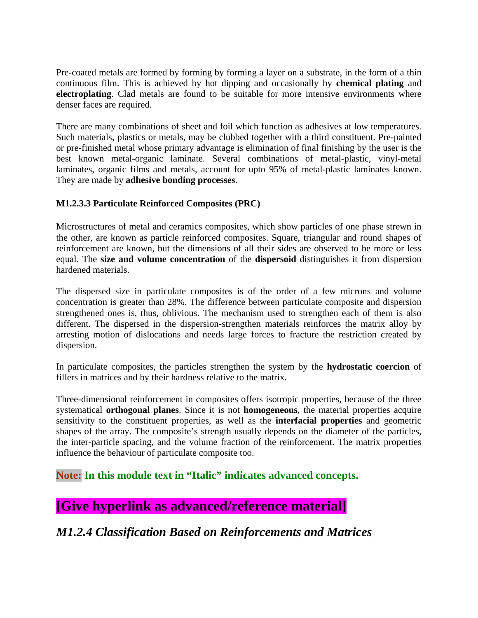Pre-coated metals are formed by forming by forming a layer on a substrate, in the form of a thin continuous film. This is achieved by hot dipping and occasionally by **chemical plating** and **electroplating**. Clad metals are found to be suitable for more intensive environments where denser faces are required.

There are many combinations of sheet and foil which function as adhesives at low temperatures. Such materials, plastics or metals, may be clubbed together with a third constituent. Pre-painted or pre-finished metal whose primary advantage is elimination of final finishing by the user is the best known metal-organic laminate. Several combinations of metal-plastic, vinyl-metal laminates, organic films and metals, account for upto 95% of metal-plastic laminates known. They are made by **adhesive bonding processes**.

#### **M1.2.3.3 Particulate Reinforced Composites (PRC)**

Microstructures of metal and ceramics composites, which show particles of one phase strewn in the other, are known as particle reinforced composites. Square, triangular and round shapes of reinforcement are known, but the dimensions of all their sides are observed to be more or less equal. The **size and volume concentration** of the **dispersoid** distinguishes it from dispersion hardened materials.

The dispersed size in particulate composites is of the order of a few microns and volume concentration is greater than 28%. The difference between particulate composite and dispersion strengthened ones is, thus, oblivious. The mechanism used to strengthen each of them is also different. The dispersed in the dispersion-strengthen materials reinforces the matrix alloy by arresting motion of dislocations and needs large forces to fracture the restriction created by dispersion.

In particulate composites, the particles strengthen the system by the **hydrostatic coercion** of fillers in matrices and by their hardness relative to the matrix.

Three-dimensional reinforcement in composites offers isotropic properties, because of the three systematical **orthogonal planes**. Since it is not **homogeneous**, the material properties acquire sensitivity to the constituent properties, as well as the **interfacial properties** and geometric shapes of the array. The composite's strength usually depends on the diameter of the particles, the inter-particle spacing, and the volume fraction of the reinforcement. The matrix properties influence the behaviour of particulate composite too.

**Note: In this module text in "Italic" indicates advanced concepts.** 

# **[Give hyperlink as advanced/reference material]**

*M1.2.4 Classification Based on Reinforcements and Matrices*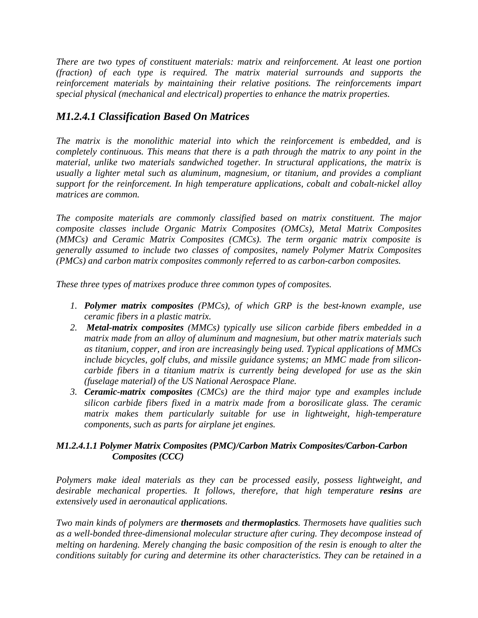*There are two types of constituent materials: matrix and reinforcement. At least one portion (fraction) of each type is required. The matrix material surrounds and supports the reinforcement materials by maintaining their relative positions. The reinforcements impart special physical (mechanical and electrical) properties to enhance the matrix properties.* 

## *M1.2.4.1 Classification Based On Matrices*

*The matrix is the monolithic material into which the reinforcement is embedded, and is completely continuous. This means that there is a path through the matrix to any point in the material, unlike two materials sandwiched together. In structural applications, the matrix is usually a lighter metal such as aluminum, magnesium, or titanium, and provides a compliant support for the reinforcement. In high temperature applications, cobalt and cobalt-nickel alloy matrices are common.* 

*The composite materials are commonly classified based on matrix constituent. The major composite classes include Organic Matrix Composites (OMCs), Metal Matrix Composites (MMCs) and Ceramic Matrix Composites (CMCs). The term organic matrix composite is generally assumed to include two classes of composites, namely Polymer Matrix Composites (PMCs) and carbon matrix composites commonly referred to as carbon-carbon composites.* 

*These three types of matrixes produce three common types of composites.* 

- *1. Polymer matrix composites (PMCs), of which GRP is the best-known example, use ceramic fibers in a plastic matrix.*
- *2. Metal-matrix composites (MMCs) typically use silicon carbide fibers embedded in a matrix made from an alloy of aluminum and magnesium, but other matrix materials such as titanium, copper, and iron are increasingly being used. Typical applications of MMCs include bicycles, golf clubs, and missile guidance systems; an MMC made from siliconcarbide fibers in a titanium matrix is currently being developed for use as the skin (fuselage material) of the US National Aerospace Plane.*
- *3. Ceramic-matrix composites (CMCs) are the third major type and examples include silicon carbide fibers fixed in a matrix made from a borosilicate glass. The ceramic matrix makes them particularly suitable for use in lightweight, high-temperature components, such as parts for airplane jet engines.*

#### *M1.2.4.1.1 Polymer Matrix Composites (PMC)/Carbon Matrix Composites/Carbon-Carbon Composites (CCC)*

*Polymers make ideal materials as they can be processed easily, possess lightweight, and desirable mechanical properties. It follows, therefore, that high temperature resins are extensively used in aeronautical applications.* 

*Two main kinds of polymers are thermosets and thermoplastics. Thermosets have qualities such as a well-bonded three-dimensional molecular structure after curing. They decompose instead of melting on hardening. Merely changing the basic composition of the resin is enough to alter the conditions suitably for curing and determine its other characteristics. They can be retained in a*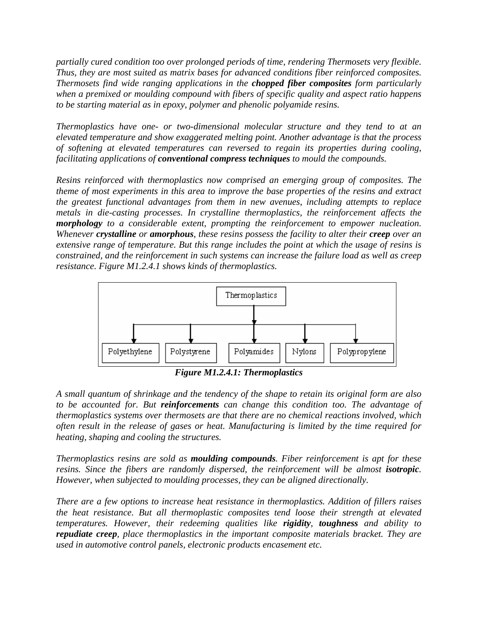*partially cured condition too over prolonged periods of time, rendering Thermosets very flexible. Thus, they are most suited as matrix bases for advanced conditions fiber reinforced composites. Thermosets find wide ranging applications in the chopped fiber composites form particularly when a premixed or moulding compound with fibers of specific quality and aspect ratio happens to be starting material as in epoxy, polymer and phenolic polyamide resins.* 

*Thermoplastics have one- or two-dimensional molecular structure and they tend to at an elevated temperature and show exaggerated melting point. Another advantage is that the process of softening at elevated temperatures can reversed to regain its properties during cooling, facilitating applications of conventional compress techniques to mould the compounds.* 

*Resins reinforced with thermoplastics now comprised an emerging group of composites. The theme of most experiments in this area to improve the base properties of the resins and extract the greatest functional advantages from them in new avenues, including attempts to replace metals in die-casting processes. In crystalline thermoplastics, the reinforcement affects the morphology to a considerable extent, prompting the reinforcement to empower nucleation. Whenever crystalline or amorphous, these resins possess the facility to alter their creep over an extensive range of temperature. But this range includes the point at which the usage of resins is constrained, and the reinforcement in such systems can increase the failure load as well as creep resistance. Figure M1.2.4.1 shows kinds of thermoplastics.* 



*Figure M1.2.4.1: Thermoplastics* 

*A small quantum of shrinkage and the tendency of the shape to retain its original form are also to be accounted for. But reinforcements can change this condition too. The advantage of thermoplastics systems over thermosets are that there are no chemical reactions involved, which often result in the release of gases or heat. Manufacturing is limited by the time required for heating, shaping and cooling the structures.* 

*Thermoplastics resins are sold as moulding compounds. Fiber reinforcement is apt for these resins. Since the fibers are randomly dispersed, the reinforcement will be almost isotropic. However, when subjected to moulding processes, they can be aligned directionally.* 

*There are a few options to increase heat resistance in thermoplastics. Addition of fillers raises the heat resistance. But all thermoplastic composites tend loose their strength at elevated temperatures. However, their redeeming qualities like rigidity, toughness and ability to repudiate creep, place thermoplastics in the important composite materials bracket. They are used in automotive control panels, electronic products encasement etc.*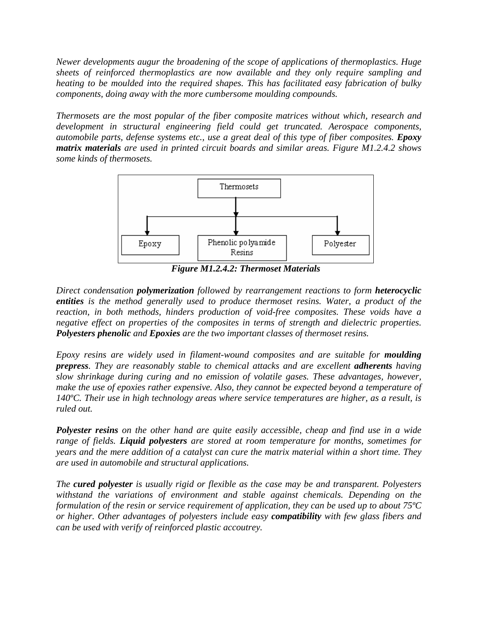*Newer developments augur the broadening of the scope of applications of thermoplastics. Huge sheets of reinforced thermoplastics are now available and they only require sampling and heating to be moulded into the required shapes. This has facilitated easy fabrication of bulky components, doing away with the more cumbersome moulding compounds.* 

*Thermosets are the most popular of the fiber composite matrices without which, research and development in structural engineering field could get truncated. Aerospace components, automobile parts, defense systems etc., use a great deal of this type of fiber composites. Epoxy matrix materials are used in printed circuit boards and similar areas. Figure M1.2.4.2 shows some kinds of thermosets.* 



*Figure M1.2.4.2: Thermoset Materials* 

*Direct condensation polymerization followed by rearrangement reactions to form heterocyclic entities is the method generally used to produce thermoset resins. Water, a product of the reaction, in both methods, hinders production of void-free composites. These voids have a negative effect on properties of the composites in terms of strength and dielectric properties. Polyesters phenolic and Epoxies are the two important classes of thermoset resins.* 

*Epoxy resins are widely used in filament-wound composites and are suitable for moulding prepress. They are reasonably stable to chemical attacks and are excellent adherents having slow shrinkage during curing and no emission of volatile gases. These advantages, however, make the use of epoxies rather expensive. Also, they cannot be expected beyond a temperature of 140ºC. Their use in high technology areas where service temperatures are higher, as a result, is ruled out.* 

*Polyester resins on the other hand are quite easily accessible, cheap and find use in a wide range of fields. Liquid polyesters are stored at room temperature for months, sometimes for years and the mere addition of a catalyst can cure the matrix material within a short time. They are used in automobile and structural applications.* 

*The cured polyester is usually rigid or flexible as the case may be and transparent. Polyesters withstand the variations of environment and stable against chemicals. Depending on the formulation of the resin or service requirement of application, they can be used up to about 75ºC or higher. Other advantages of polyesters include easy compatibility with few glass fibers and can be used with verify of reinforced plastic accoutrey.*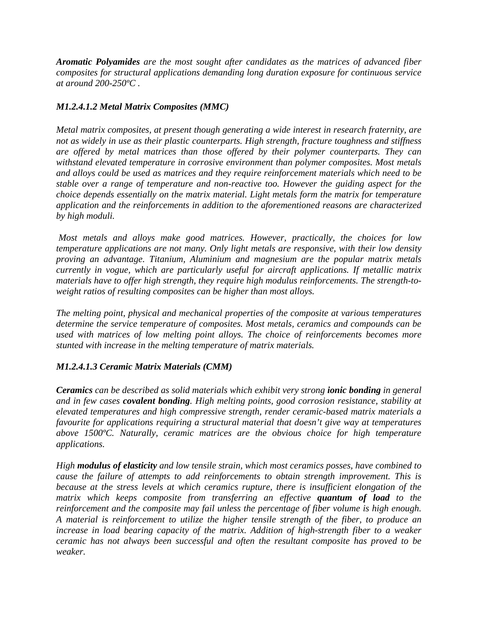*Aromatic Polyamides are the most sought after candidates as the matrices of advanced fiber composites for structural applications demanding long duration exposure for continuous service at around 200-250ºC .* 

#### *M1.2.4.1.2 Metal Matrix Composites (MMC)*

*Metal matrix composites, at present though generating a wide interest in research fraternity, are not as widely in use as their plastic counterparts. High strength, fracture toughness and stiffness are offered by metal matrices than those offered by their polymer counterparts. They can withstand elevated temperature in corrosive environment than polymer composites. Most metals and alloys could be used as matrices and they require reinforcement materials which need to be stable over a range of temperature and non-reactive too. However the guiding aspect for the choice depends essentially on the matrix material. Light metals form the matrix for temperature application and the reinforcements in addition to the aforementioned reasons are characterized by high moduli.* 

 *Most metals and alloys make good matrices. However, practically, the choices for low temperature applications are not many. Only light metals are responsive, with their low density proving an advantage. Titanium, Aluminium and magnesium are the popular matrix metals currently in vogue, which are particularly useful for aircraft applications. If metallic matrix materials have to offer high strength, they require high modulus reinforcements. The strength-toweight ratios of resulting composites can be higher than most alloys.* 

*The melting point, physical and mechanical properties of the composite at various temperatures determine the service temperature of composites. Most metals, ceramics and compounds can be used with matrices of low melting point alloys. The choice of reinforcements becomes more stunted with increase in the melting temperature of matrix materials.* 

#### *M1.2.4.1.3 Ceramic Matrix Materials (CMM)*

*Ceramics can be described as solid materials which exhibit very strong ionic bonding in general and in few cases covalent bonding. High melting points, good corrosion resistance, stability at elevated temperatures and high compressive strength, render ceramic-based matrix materials a favourite for applications requiring a structural material that doesn't give way at temperatures above 1500ºC. Naturally, ceramic matrices are the obvious choice for high temperature applications.* 

*High modulus of elasticity and low tensile strain, which most ceramics posses, have combined to cause the failure of attempts to add reinforcements to obtain strength improvement. This is because at the stress levels at which ceramics rupture, there is insufficient elongation of the matrix which keeps composite from transferring an effective quantum of load to the reinforcement and the composite may fail unless the percentage of fiber volume is high enough. A material is reinforcement to utilize the higher tensile strength of the fiber, to produce an increase in load bearing capacity of the matrix. Addition of high-strength fiber to a weaker ceramic has not always been successful and often the resultant composite has proved to be weaker.*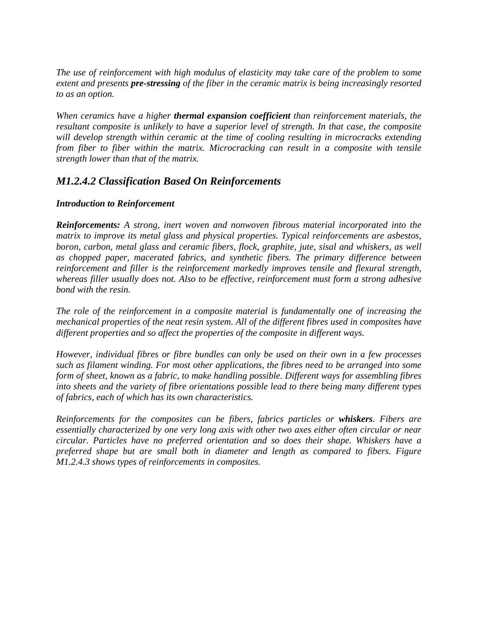*The use of reinforcement with high modulus of elasticity may take care of the problem to some extent and presents pre-stressing of the fiber in the ceramic matrix is being increasingly resorted to as an option.* 

*When ceramics have a higher thermal expansion coefficient than reinforcement materials, the resultant composite is unlikely to have a superior level of strength. In that case, the composite will develop strength within ceramic at the time of cooling resulting in microcracks extending from fiber to fiber within the matrix. Microcracking can result in a composite with tensile strength lower than that of the matrix.* 

#### *M1.2.4.2 Classification Based On Reinforcements*

#### *Introduction to Reinforcement*

*Reinforcements: A strong, inert woven and nonwoven fibrous material incorporated into the matrix to improve its metal glass and physical properties. Typical reinforcements are asbestos, boron, carbon, metal glass and ceramic fibers, flock, graphite, jute, sisal and whiskers, as well as chopped paper, macerated fabrics, and synthetic fibers. The primary difference between reinforcement and filler is the reinforcement markedly improves tensile and flexural strength, whereas filler usually does not. Also to be effective, reinforcement must form a strong adhesive bond with the resin.* 

*The role of the reinforcement in a composite material is fundamentally one of increasing the mechanical properties of the neat resin system. All of the different fibres used in composites have different properties and so affect the properties of the composite in different ways.* 

*However, individual fibres or fibre bundles can only be used on their own in a few processes such as filament winding. For most other applications, the fibres need to be arranged into some form of sheet, known as a fabric, to make handling possible. Different ways for assembling fibres into sheets and the variety of fibre orientations possible lead to there being many different types of fabrics, each of which has its own characteristics.* 

*Reinforcements for the composites can be fibers, fabrics particles or whiskers. Fibers are essentially characterized by one very long axis with other two axes either often circular or near circular. Particles have no preferred orientation and so does their shape. Whiskers have a preferred shape but are small both in diameter and length as compared to fibers. Figure M1.2.4.3 shows types of reinforcements in composites.*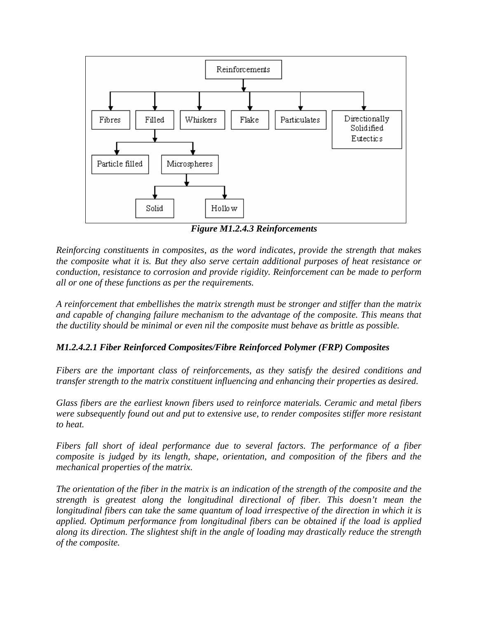

*Figure M1.2.4.3 Reinforcements* 

*Reinforcing constituents in composites, as the word indicates, provide the strength that makes the composite what it is. But they also serve certain additional purposes of heat resistance or conduction, resistance to corrosion and provide rigidity. Reinforcement can be made to perform all or one of these functions as per the requirements.* 

*A reinforcement that embellishes the matrix strength must be stronger and stiffer than the matrix and capable of changing failure mechanism to the advantage of the composite. This means that the ductility should be minimal or even nil the composite must behave as brittle as possible.* 

#### *M1.2.4.2.1 Fiber Reinforced Composites/Fibre Reinforced Polymer (FRP) Composites*

*Fibers are the important class of reinforcements, as they satisfy the desired conditions and transfer strength to the matrix constituent influencing and enhancing their properties as desired.* 

*Glass fibers are the earliest known fibers used to reinforce materials. Ceramic and metal fibers were subsequently found out and put to extensive use, to render composites stiffer more resistant to heat.* 

*Fibers fall short of ideal performance due to several factors. The performance of a fiber composite is judged by its length, shape, orientation, and composition of the fibers and the mechanical properties of the matrix.* 

*The orientation of the fiber in the matrix is an indication of the strength of the composite and the strength is greatest along the longitudinal directional of fiber. This doesn't mean the longitudinal fibers can take the same quantum of load irrespective of the direction in which it is applied. Optimum performance from longitudinal fibers can be obtained if the load is applied along its direction. The slightest shift in the angle of loading may drastically reduce the strength of the composite.*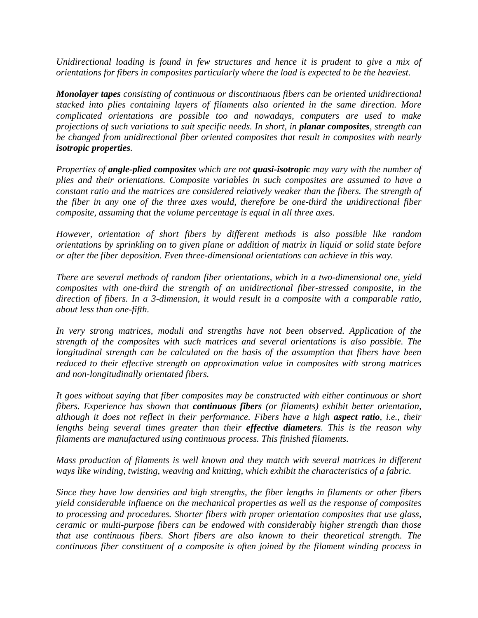*Unidirectional loading is found in few structures and hence it is prudent to give a mix of orientations for fibers in composites particularly where the load is expected to be the heaviest.* 

*Monolayer tapes consisting of continuous or discontinuous fibers can be oriented unidirectional stacked into plies containing layers of filaments also oriented in the same direction. More complicated orientations are possible too and nowadays, computers are used to make projections of such variations to suit specific needs. In short, in planar composites, strength can be changed from unidirectional fiber oriented composites that result in composites with nearly isotropic properties.* 

*Properties of angle-plied composites which are not quasi-isotropic may vary with the number of plies and their orientations. Composite variables in such composites are assumed to have a constant ratio and the matrices are considered relatively weaker than the fibers. The strength of the fiber in any one of the three axes would, therefore be one-third the unidirectional fiber composite, assuming that the volume percentage is equal in all three axes.* 

*However, orientation of short fibers by different methods is also possible like random orientations by sprinkling on to given plane or addition of matrix in liquid or solid state before or after the fiber deposition. Even three-dimensional orientations can achieve in this way.* 

*There are several methods of random fiber orientations, which in a two-dimensional one, yield composites with one-third the strength of an unidirectional fiber-stressed composite, in the direction of fibers. In a 3-dimension, it would result in a composite with a comparable ratio, about less than one-fifth.* 

*In very strong matrices, moduli and strengths have not been observed. Application of the strength of the composites with such matrices and several orientations is also possible. The longitudinal strength can be calculated on the basis of the assumption that fibers have been reduced to their effective strength on approximation value in composites with strong matrices and non-longitudinally orientated fibers.* 

*It goes without saying that fiber composites may be constructed with either continuous or short fibers. Experience has shown that continuous fibers (or filaments) exhibit better orientation, although it does not reflect in their performance. Fibers have a high aspect ratio, i.e., their lengths being several times greater than their effective diameters. This is the reason why filaments are manufactured using continuous process. This finished filaments.* 

*Mass production of filaments is well known and they match with several matrices in different ways like winding, twisting, weaving and knitting, which exhibit the characteristics of a fabric.* 

*Since they have low densities and high strengths, the fiber lengths in filaments or other fibers yield considerable influence on the mechanical properties as well as the response of composites to processing and procedures. Shorter fibers with proper orientation composites that use glass, ceramic or multi-purpose fibers can be endowed with considerably higher strength than those that use continuous fibers. Short fibers are also known to their theoretical strength. The continuous fiber constituent of a composite is often joined by the filament winding process in*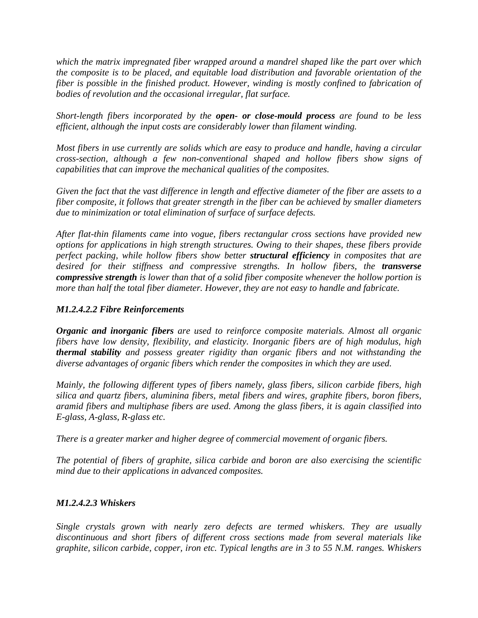*which the matrix impregnated fiber wrapped around a mandrel shaped like the part over which the composite is to be placed, and equitable load distribution and favorable orientation of the fiber is possible in the finished product. However, winding is mostly confined to fabrication of bodies of revolution and the occasional irregular, flat surface.* 

*Short-length fibers incorporated by the open- or close-mould process are found to be less efficient, although the input costs are considerably lower than filament winding.* 

*Most fibers in use currently are solids which are easy to produce and handle, having a circular cross-section, although a few non-conventional shaped and hollow fibers show signs of capabilities that can improve the mechanical qualities of the composites.* 

*Given the fact that the vast difference in length and effective diameter of the fiber are assets to a fiber composite, it follows that greater strength in the fiber can be achieved by smaller diameters due to minimization or total elimination of surface of surface defects.* 

*After flat-thin filaments came into vogue, fibers rectangular cross sections have provided new options for applications in high strength structures. Owing to their shapes, these fibers provide perfect packing, while hollow fibers show better structural efficiency in composites that are*  desired for their stiffness and compressive strengths. In hollow fibers, the **transverse** *compressive strength is lower than that of a solid fiber composite whenever the hollow portion is more than half the total fiber diameter. However, they are not easy to handle and fabricate.* 

#### *M1.2.4.2.2 Fibre Reinforcements*

*Organic and inorganic fibers are used to reinforce composite materials. Almost all organic fibers have low density, flexibility, and elasticity. Inorganic fibers are of high modulus, high thermal stability and possess greater rigidity than organic fibers and not withstanding the diverse advantages of organic fibers which render the composites in which they are used.* 

*Mainly, the following different types of fibers namely, glass fibers, silicon carbide fibers, high silica and quartz fibers, aluminina fibers, metal fibers and wires, graphite fibers, boron fibers, aramid fibers and multiphase fibers are used. Among the glass fibers, it is again classified into E-glass, A-glass, R-glass etc.* 

*There is a greater marker and higher degree of commercial movement of organic fibers.* 

*The potential of fibers of graphite, silica carbide and boron are also exercising the scientific mind due to their applications in advanced composites.* 

#### *M1.2.4.2.3 Whiskers*

*Single crystals grown with nearly zero defects are termed whiskers. They are usually discontinuous and short fibers of different cross sections made from several materials like graphite, silicon carbide, copper, iron etc. Typical lengths are in 3 to 55 N.M. ranges. Whiskers*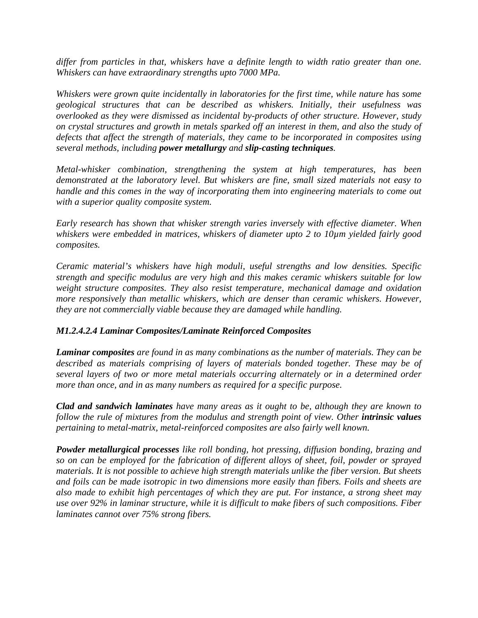*differ from particles in that, whiskers have a definite length to width ratio greater than one. Whiskers can have extraordinary strengths upto 7000 MPa.* 

*Whiskers were grown quite incidentally in laboratories for the first time, while nature has some geological structures that can be described as whiskers. Initially, their usefulness was overlooked as they were dismissed as incidental by-products of other structure. However, study on crystal structures and growth in metals sparked off an interest in them, and also the study of defects that affect the strength of materials, they came to be incorporated in composites using several methods, including power metallurgy and slip-casting techniques.* 

*Metal-whisker combination, strengthening the system at high temperatures, has been demonstrated at the laboratory level. But whiskers are fine, small sized materials not easy to handle and this comes in the way of incorporating them into engineering materials to come out with a superior quality composite system.* 

*Early research has shown that whisker strength varies inversely with effective diameter. When whiskers were embedded in matrices, whiskers of diameter upto 2 to 10µm yielded fairly good composites.* 

*Ceramic material's whiskers have high moduli, useful strengths and low densities. Specific strength and specific modulus are very high and this makes ceramic whiskers suitable for low weight structure composites. They also resist temperature, mechanical damage and oxidation more responsively than metallic whiskers, which are denser than ceramic whiskers. However, they are not commercially viable because they are damaged while handling.* 

#### *M1.2.4.2.4 Laminar Composites/Laminate Reinforced Composites*

*Laminar composites are found in as many combinations as the number of materials. They can be described as materials comprising of layers of materials bonded together. These may be of several layers of two or more metal materials occurring alternately or in a determined order more than once, and in as many numbers as required for a specific purpose.* 

*Clad and sandwich laminates have many areas as it ought to be, although they are known to follow the rule of mixtures from the modulus and strength point of view. Other intrinsic values pertaining to metal-matrix, metal-reinforced composites are also fairly well known.* 

*Powder metallurgical processes like roll bonding, hot pressing, diffusion bonding, brazing and so on can be employed for the fabrication of different alloys of sheet, foil, powder or sprayed materials. It is not possible to achieve high strength materials unlike the fiber version. But sheets and foils can be made isotropic in two dimensions more easily than fibers. Foils and sheets are also made to exhibit high percentages of which they are put. For instance, a strong sheet may use over 92% in laminar structure, while it is difficult to make fibers of such compositions. Fiber laminates cannot over 75% strong fibers.*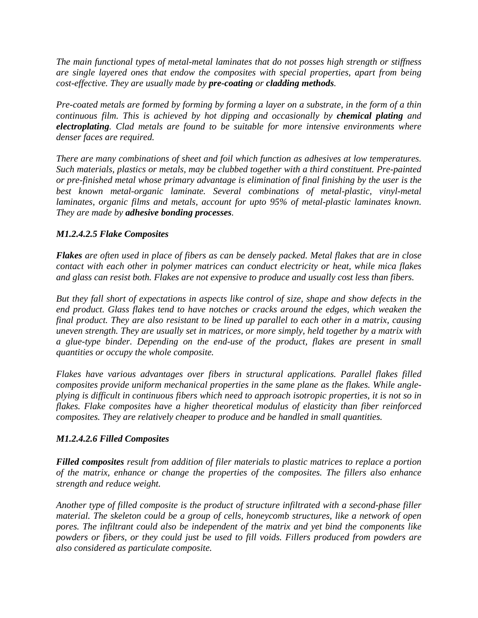*The main functional types of metal-metal laminates that do not posses high strength or stiffness are single layered ones that endow the composites with special properties, apart from being cost-effective. They are usually made by pre-coating or cladding methods.* 

*Pre-coated metals are formed by forming by forming a layer on a substrate, in the form of a thin continuous film. This is achieved by hot dipping and occasionally by chemical plating and electroplating. Clad metals are found to be suitable for more intensive environments where denser faces are required.* 

*There are many combinations of sheet and foil which function as adhesives at low temperatures. Such materials, plastics or metals, may be clubbed together with a third constituent. Pre-painted or pre-finished metal whose primary advantage is elimination of final finishing by the user is the best known metal-organic laminate. Several combinations of metal-plastic, vinyl-metal laminates, organic films and metals, account for upto 95% of metal-plastic laminates known. They are made by adhesive bonding processes.* 

#### *M1.2.4.2.5 Flake Composites*

*Flakes are often used in place of fibers as can be densely packed. Metal flakes that are in close contact with each other in polymer matrices can conduct electricity or heat, while mica flakes and glass can resist both. Flakes are not expensive to produce and usually cost less than fibers.* 

*But they fall short of expectations in aspects like control of size, shape and show defects in the end product. Glass flakes tend to have notches or cracks around the edges, which weaken the final product. They are also resistant to be lined up parallel to each other in a matrix, causing uneven strength. They are usually set in matrices, or more simply, held together by a matrix with a glue-type binder. Depending on the end-use of the product, flakes are present in small quantities or occupy the whole composite.* 

*Flakes have various advantages over fibers in structural applications. Parallel flakes filled composites provide uniform mechanical properties in the same plane as the flakes. While angleplying is difficult in continuous fibers which need to approach isotropic properties, it is not so in flakes. Flake composites have a higher theoretical modulus of elasticity than fiber reinforced composites. They are relatively cheaper to produce and be handled in small quantities.* 

#### *M1.2.4.2.6 Filled Composites*

*Filled composites result from addition of filer materials to plastic matrices to replace a portion of the matrix, enhance or change the properties of the composites. The fillers also enhance strength and reduce weight.* 

*Another type of filled composite is the product of structure infiltrated with a second-phase filler material. The skeleton could be a group of cells, honeycomb structures, like a network of open pores. The infiltrant could also be independent of the matrix and yet bind the components like powders or fibers, or they could just be used to fill voids. Fillers produced from powders are also considered as particulate composite.*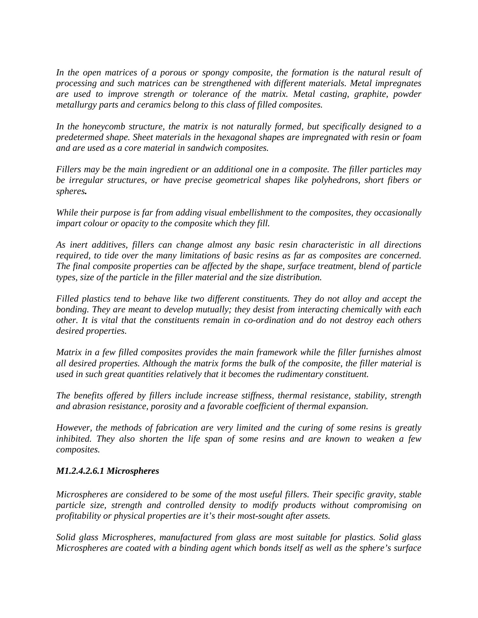In the open matrices of a porous or spongy composite, the formation is the natural result of *processing and such matrices can be strengthened with different materials. Metal impregnates are used to improve strength or tolerance of the matrix. Metal casting, graphite, powder metallurgy parts and ceramics belong to this class of filled composites.* 

*In the honeycomb structure, the matrix is not naturally formed, but specifically designed to a predetermed shape. Sheet materials in the hexagonal shapes are impregnated with resin or foam and are used as a core material in sandwich composites.* 

*Fillers may be the main ingredient or an additional one in a composite. The filler particles may be irregular structures, or have precise geometrical shapes like polyhedrons, short fibers or spheres.* 

*While their purpose is far from adding visual embellishment to the composites, they occasionally impart colour or opacity to the composite which they fill.* 

*As inert additives, fillers can change almost any basic resin characteristic in all directions required, to tide over the many limitations of basic resins as far as composites are concerned. The final composite properties can be affected by the shape, surface treatment, blend of particle types, size of the particle in the filler material and the size distribution.* 

*Filled plastics tend to behave like two different constituents. They do not alloy and accept the bonding. They are meant to develop mutually; they desist from interacting chemically with each other. It is vital that the constituents remain in co-ordination and do not destroy each others desired properties.* 

*Matrix in a few filled composites provides the main framework while the filler furnishes almost all desired properties. Although the matrix forms the bulk of the composite, the filler material is used in such great quantities relatively that it becomes the rudimentary constituent.* 

*The benefits offered by fillers include increase stiffness, thermal resistance, stability, strength and abrasion resistance, porosity and a favorable coefficient of thermal expansion.* 

*However, the methods of fabrication are very limited and the curing of some resins is greatly inhibited. They also shorten the life span of some resins and are known to weaken a few composites.* 

#### *M1.2.4.2.6.1 Microspheres*

*Microspheres are considered to be some of the most useful fillers. Their specific gravity, stable particle size, strength and controlled density to modify products without compromising on profitability or physical properties are it's their most-sought after assets.* 

*Solid glass Microspheres, manufactured from glass are most suitable for plastics. Solid glass Microspheres are coated with a binding agent which bonds itself as well as the sphere's surface*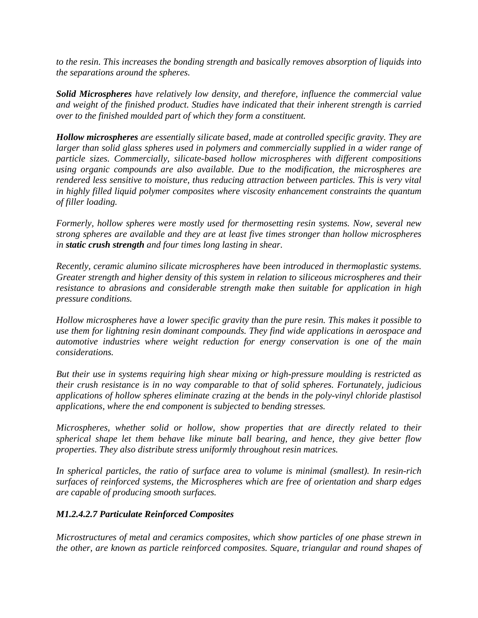*to the resin. This increases the bonding strength and basically removes absorption of liquids into the separations around the spheres.* 

*Solid Microspheres have relatively low density, and therefore, influence the commercial value and weight of the finished product. Studies have indicated that their inherent strength is carried over to the finished moulded part of which they form a constituent.* 

*Hollow microspheres are essentially silicate based, made at controlled specific gravity. They are*  larger than solid glass spheres used in polymers and commercially supplied in a wider range of *particle sizes. Commercially, silicate-based hollow microspheres with different compositions using organic compounds are also available. Due to the modification, the microspheres are rendered less sensitive to moisture, thus reducing attraction between particles. This is very vital in highly filled liquid polymer composites where viscosity enhancement constraints the quantum of filler loading.* 

*Formerly, hollow spheres were mostly used for thermosetting resin systems. Now, several new strong spheres are available and they are at least five times stronger than hollow microspheres in static crush strength and four times long lasting in shear.* 

*Recently, ceramic alumino silicate microspheres have been introduced in thermoplastic systems. Greater strength and higher density of this system in relation to siliceous microspheres and their resistance to abrasions and considerable strength make then suitable for application in high pressure conditions.* 

*Hollow microspheres have a lower specific gravity than the pure resin. This makes it possible to use them for lightning resin dominant compounds. They find wide applications in aerospace and automotive industries where weight reduction for energy conservation is one of the main considerations.* 

*But their use in systems requiring high shear mixing or high-pressure moulding is restricted as their crush resistance is in no way comparable to that of solid spheres. Fortunately, judicious applications of hollow spheres eliminate crazing at the bends in the poly-vinyl chloride plastisol applications, where the end component is subjected to bending stresses.* 

*Microspheres, whether solid or hollow, show properties that are directly related to their spherical shape let them behave like minute ball bearing, and hence, they give better flow properties. They also distribute stress uniformly throughout resin matrices.* 

*In spherical particles, the ratio of surface area to volume is minimal (smallest). In resin-rich surfaces of reinforced systems, the Microspheres which are free of orientation and sharp edges are capable of producing smooth surfaces.* 

#### *M1.2.4.2.7 Particulate Reinforced Composites*

*Microstructures of metal and ceramics composites, which show particles of one phase strewn in the other, are known as particle reinforced composites. Square, triangular and round shapes of*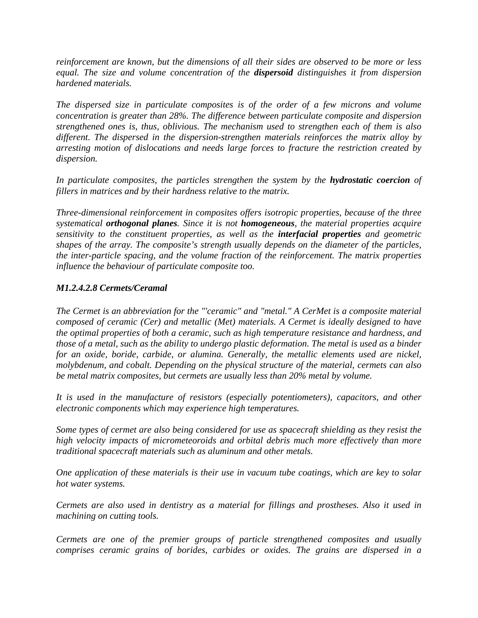*reinforcement are known, but the dimensions of all their sides are observed to be more or less equal. The size and volume concentration of the dispersoid distinguishes it from dispersion hardened materials.* 

*The dispersed size in particulate composites is of the order of a few microns and volume concentration is greater than 28%. The difference between particulate composite and dispersion strengthened ones is, thus, oblivious. The mechanism used to strengthen each of them is also different. The dispersed in the dispersion-strengthen materials reinforces the matrix alloy by arresting motion of dislocations and needs large forces to fracture the restriction created by dispersion.* 

*In particulate composites, the particles strengthen the system by the hydrostatic coercion of fillers in matrices and by their hardness relative to the matrix.* 

*Three-dimensional reinforcement in composites offers isotropic properties, because of the three systematical orthogonal planes. Since it is not homogeneous, the material properties acquire sensitivity to the constituent properties, as well as the interfacial properties and geometric shapes of the array. The composite's strength usually depends on the diameter of the particles, the inter-particle spacing, and the volume fraction of the reinforcement. The matrix properties influence the behaviour of particulate composite too.* 

#### *M1.2.4.2.8 Cermets/Ceramal*

*The Cermet is an abbreviation for the "'ceramic" and "metal." A CerMet is a composite material composed of ceramic (Cer) and metallic (Met) materials. A Cermet is ideally designed to have the optimal properties of both a ceramic, such as high temperature resistance and hardness, and those of a metal, such as the ability to undergo plastic deformation. The metal is used as a binder for an oxide, boride, carbide, or alumina. Generally, the metallic elements used are nickel, molybdenum, and cobalt. Depending on the physical structure of the material, cermets can also be metal matrix composites, but cermets are usually less than 20% metal by volume.* 

*It is used in the manufacture of resistors (especially potentiometers), capacitors, and other electronic components which may experience high temperatures.* 

*Some types of cermet are also being considered for use as spacecraft shielding as they resist the high velocity impacts of micrometeoroids and orbital debris much more effectively than more traditional spacecraft materials such as aluminum and other metals.* 

*One application of these materials is their use in vacuum tube coatings, which are key to solar hot water systems.* 

*Cermets are also used in dentistry as a material for fillings and prostheses. Also it used in machining on cutting tools.* 

*Cermets are one of the premier groups of particle strengthened composites and usually comprises ceramic grains of borides, carbides or oxides. The grains are dispersed in a*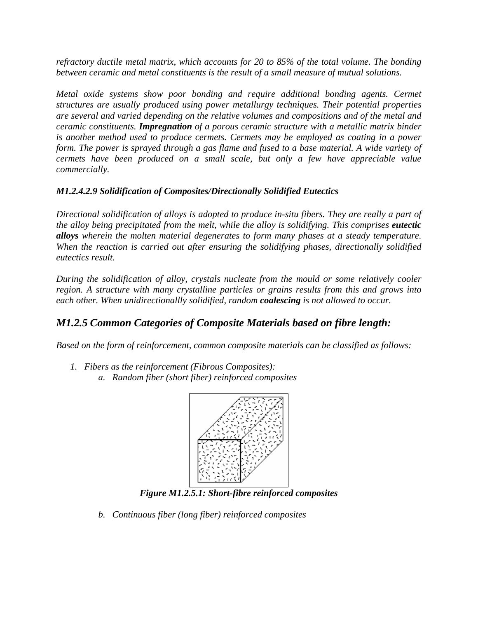*refractory ductile metal matrix, which accounts for 20 to 85% of the total volume. The bonding between ceramic and metal constituents is the result of a small measure of mutual solutions.* 

*Metal oxide systems show poor bonding and require additional bonding agents. Cermet structures are usually produced using power metallurgy techniques. Their potential properties are several and varied depending on the relative volumes and compositions and of the metal and ceramic constituents. Impregnation of a porous ceramic structure with a metallic matrix binder is another method used to produce cermets. Cermets may be employed as coating in a power form. The power is sprayed through a gas flame and fused to a base material. A wide variety of cermets have been produced on a small scale, but only a few have appreciable value commercially.* 

#### *M1.2.4.2.9 Solidification of Composites/Directionally Solidified Eutectics*

*Directional solidification of alloys is adopted to produce in-situ fibers. They are really a part of the alloy being precipitated from the melt, while the alloy is solidifying. This comprises eutectic alloys wherein the molten material degenerates to form many phases at a steady temperature. When the reaction is carried out after ensuring the solidifying phases, directionally solidified eutectics result.* 

*During the solidification of alloy, crystals nucleate from the mould or some relatively cooler region. A structure with many crystalline particles or grains results from this and grows into each other. When unidirectionallly solidified, random coalescing is not allowed to occur.* 

### *M1.2.5 Common Categories of Composite Materials based on fibre length:*

*Based on the form of reinforcement, common composite materials can be classified as follows:* 

- *1. Fibers as the reinforcement (Fibrous Composites):* 
	- *a. Random fiber (short fiber) reinforced composites*



*Figure M1.2.5.1: Short-fibre reinforced composites* 

*b. Continuous fiber (long fiber) reinforced composites*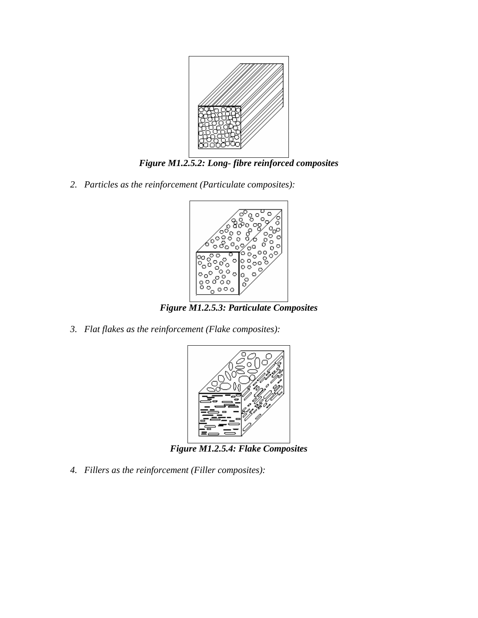

*Figure M1.2.5.2: Long- fibre reinforced composites*

*2. Particles as the reinforcement (Particulate composites):* 



*Figure M1.2.5.3: Particulate Composites*

*3. Flat flakes as the reinforcement (Flake composites):* 



*Figure M1.2.5.4: Flake Composites*

*4. Fillers as the reinforcement (Filler composites):*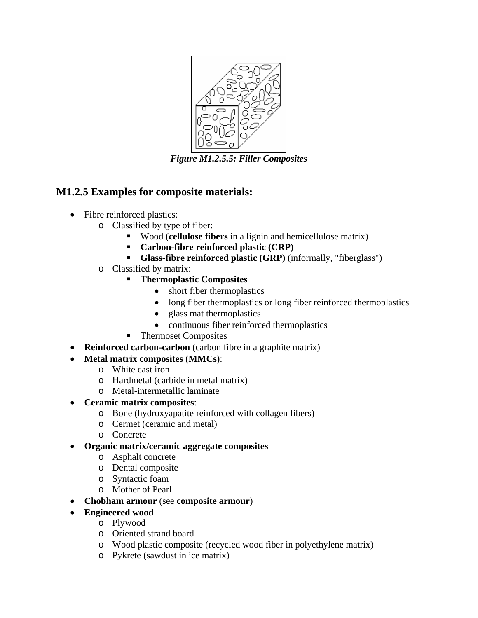

*Figure M1.2.5.5: Filler Composites*

## **M1.2.5 Examples for composite materials:**

- Fibre reinforced plastics:
	- o Classified by type of fiber:
		- Wood (**cellulose fibers** in a lignin and hemicellulose matrix)
		- **Carbon-fibre reinforced plastic (CRP)**
		- **Glass-fibre reinforced plastic (GRP)** (informally, "fiberglass")
	- o Classified by matrix:
		- **Thermoplastic Composites** 
			- short fiber thermoplastics
			- long fiber thermoplastics or long fiber reinforced thermoplastics
			- glass mat thermoplastics
			- continuous fiber reinforced thermoplastics
		- Thermoset Composites
- **Reinforced carbon-carbon** (carbon fibre in a graphite matrix)

#### • **Metal matrix composites (MMCs)**:

- o White cast iron
- o Hardmetal (carbide in metal matrix)
- o Metal-intermetallic laminate
- **Ceramic matrix composites**:
	- o Bone (hydroxyapatite reinforced with collagen fibers)
	- o Cermet (ceramic and metal)
	- o Concrete
- **Organic matrix/ceramic aggregate composites** 
	- o Asphalt concrete
	- o Dental composite
	- o Syntactic foam
	- o Mother of Pearl
- **Chobham armour** (see **composite armour**)
- **Engineered wood** 
	- o Plywood
	- o Oriented strand board
	- o Wood plastic composite (recycled wood fiber in polyethylene matrix)
	- o Pykrete (sawdust in ice matrix)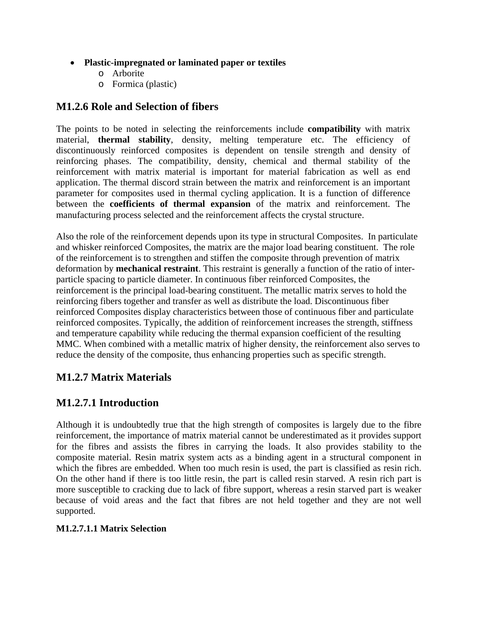#### • **Plastic-impregnated or laminated paper or textiles**

- o Arborite
- o Formica (plastic)

## **M1.2.6 Role and Selection of fibers**

The points to be noted in selecting the reinforcements include **compatibility** with matrix material, **thermal stability**, density, melting temperature etc. The efficiency of discontinuously reinforced composites is dependent on tensile strength and density of reinforcing phases. The compatibility, density, chemical and thermal stability of the reinforcement with matrix material is important for material fabrication as well as end application. The thermal discord strain between the matrix and reinforcement is an important parameter for composites used in thermal cycling application. It is a function of difference between the **coefficients of thermal expansion** of the matrix and reinforcement. The manufacturing process selected and the reinforcement affects the crystal structure.

Also the role of the reinforcement depends upon its type in structural Composites. In particulate and whisker reinforced Composites, the matrix are the major load bearing constituent. The role of the reinforcement is to strengthen and stiffen the composite through prevention of matrix deformation by **mechanical restraint**. This restraint is generally a function of the ratio of interparticle spacing to particle diameter. In continuous fiber reinforced Composites, the reinforcement is the principal load-bearing constituent. The metallic matrix serves to hold the reinforcing fibers together and transfer as well as distribute the load. Discontinuous fiber reinforced Composites display characteristics between those of continuous fiber and particulate reinforced composites. Typically, the addition of reinforcement increases the strength, stiffness and temperature capability while reducing the thermal expansion coefficient of the resulting MMC. When combined with a metallic matrix of higher density, the reinforcement also serves to reduce the density of the composite, thus enhancing properties such as specific strength.

# **M1.2.7 Matrix Materials**

### **M1.2.7.1 Introduction**

Although it is undoubtedly true that the high strength of composites is largely due to the fibre reinforcement, the importance of matrix material cannot be underestimated as it provides support for the fibres and assists the fibres in carrying the loads. It also provides stability to the composite material. Resin matrix system acts as a binding agent in a structural component in which the fibres are embedded. When too much resin is used, the part is classified as resin rich. On the other hand if there is too little resin, the part is called resin starved. A resin rich part is more susceptible to cracking due to lack of fibre support, whereas a resin starved part is weaker because of void areas and the fact that fibres are not held together and they are not well supported.

#### **M1.2.7.1.1 Matrix Selection**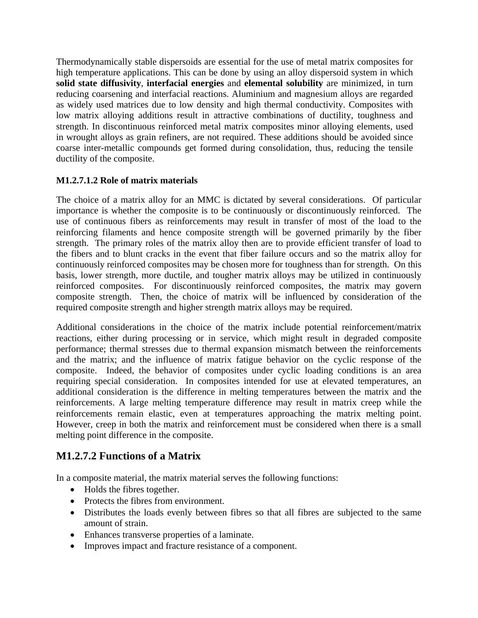Thermodynamically stable dispersoids are essential for the use of metal matrix composites for high temperature applications. This can be done by using an alloy dispersoid system in which **solid state diffusivity**, **interfacial energies** and **elemental solubility** are minimized, in turn reducing coarsening and interfacial reactions. Aluminium and magnesium alloys are regarded as widely used matrices due to low density and high thermal conductivity. Composites with low matrix alloying additions result in attractive combinations of ductility, toughness and strength. In discontinuous reinforced metal matrix composites minor alloying elements, used in wrought alloys as grain refiners, are not required. These additions should be avoided since coarse inter-metallic compounds get formed during consolidation, thus, reducing the tensile ductility of the composite.

#### **M1.2.7.1.2 Role of matrix materials**

The choice of a matrix alloy for an MMC is dictated by several considerations. Of particular importance is whether the composite is to be continuously or discontinuously reinforced. The use of continuous fibers as reinforcements may result in transfer of most of the load to the reinforcing filaments and hence composite strength will be governed primarily by the fiber strength. The primary roles of the matrix alloy then are to provide efficient transfer of load to the fibers and to blunt cracks in the event that fiber failure occurs and so the matrix alloy for continuously reinforced composites may be chosen more for toughness than for strength. On this basis, lower strength, more ductile, and tougher matrix alloys may be utilized in continuously reinforced composites. For discontinuously reinforced composites, the matrix may govern composite strength. Then, the choice of matrix will be influenced by consideration of the required composite strength and higher strength matrix alloys may be required.

Additional considerations in the choice of the matrix include potential reinforcement/matrix reactions, either during processing or in service, which might result in degraded composite performance; thermal stresses due to thermal expansion mismatch between the reinforcements and the matrix; and the influence of matrix fatigue behavior on the cyclic response of the composite. Indeed, the behavior of composites under cyclic loading conditions is an area requiring special consideration. In composites intended for use at elevated temperatures, an additional consideration is the difference in melting temperatures between the matrix and the reinforcements. A large melting temperature difference may result in matrix creep while the reinforcements remain elastic, even at temperatures approaching the matrix melting point. However, creep in both the matrix and reinforcement must be considered when there is a small melting point difference in the composite.

### **M1.2.7.2 Functions of a Matrix**

In a composite material, the matrix material serves the following functions:

- Holds the fibres together.
- Protects the fibres from environment.
- Distributes the loads evenly between fibres so that all fibres are subjected to the same amount of strain.
- Enhances transverse properties of a laminate.
- Improves impact and fracture resistance of a component.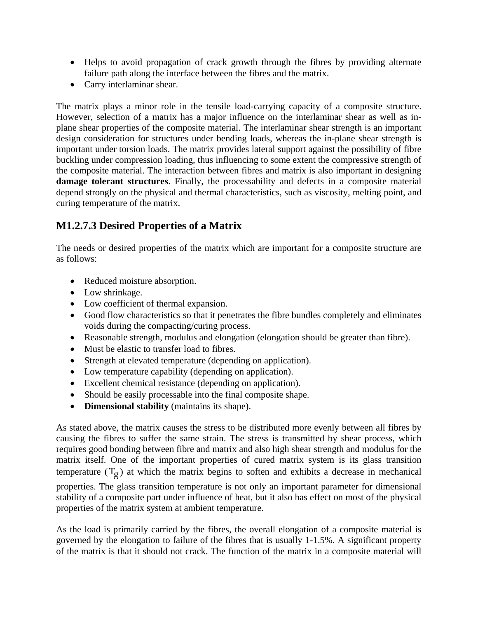- Helps to avoid propagation of crack growth through the fibres by providing alternate failure path along the interface between the fibres and the matrix.
- Carry interlaminar shear.

The matrix plays a minor role in the tensile load-carrying capacity of a composite structure. However, selection of a matrix has a major influence on the interlaminar shear as well as inplane shear properties of the composite material. The interlaminar shear strength is an important design consideration for structures under bending loads, whereas the in-plane shear strength is important under torsion loads. The matrix provides lateral support against the possibility of fibre buckling under compression loading, thus influencing to some extent the compressive strength of the composite material. The interaction between fibres and matrix is also important in designing **damage tolerant structures**. Finally, the processability and defects in a composite material depend strongly on the physical and thermal characteristics, such as viscosity, melting point, and curing temperature of the matrix.

### **M1.2.7.3 Desired Properties of a Matrix**

The needs or desired properties of the matrix which are important for a composite structure are as follows:

- Reduced moisture absorption.
- Low shrinkage.
- Low coefficient of thermal expansion.
- Good flow characteristics so that it penetrates the fibre bundles completely and eliminates voids during the compacting/curing process.
- Reasonable strength, modulus and elongation (elongation should be greater than fibre).
- Must be elastic to transfer load to fibres.
- Strength at elevated temperature (depending on application).
- Low temperature capability (depending on application).
- Excellent chemical resistance (depending on application).
- Should be easily processable into the final composite shape.
- **Dimensional stability** (maintains its shape).

As stated above, the matrix causes the stress to be distributed more evenly between all fibres by causing the fibres to suffer the same strain. The stress is transmitted by shear process, which requires good bonding between fibre and matrix and also high shear strength and modulus for the matrix itself. One of the important properties of cured matrix system is its glass transition temperature  $(T_g)$  at which the matrix begins to soften and exhibits a decrease in mechanical properties. The glass transition temperature is not only an important parameter for dimensional stability of a composite part under influence of heat, but it also has effect on most of the physical properties of the matrix system at ambient temperature.

As the load is primarily carried by the fibres, the overall elongation of a composite material is governed by the elongation to failure of the fibres that is usually 1-1.5%. A significant property of the matrix is that it should not crack. The function of the matrix in a composite material will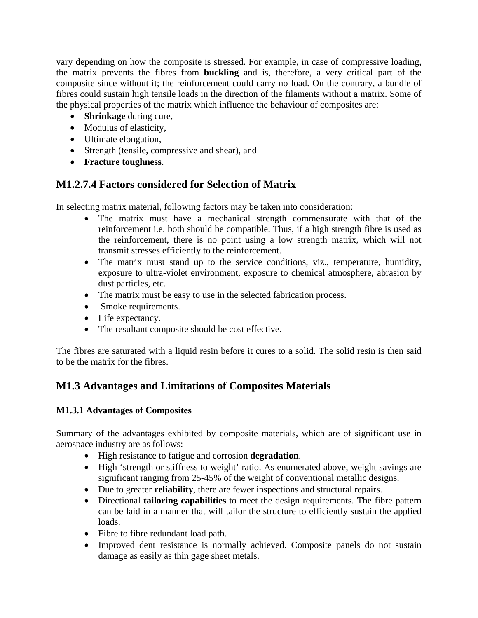vary depending on how the composite is stressed. For example, in case of compressive loading, the matrix prevents the fibres from **buckling** and is, therefore, a very critical part of the composite since without it; the reinforcement could carry no load. On the contrary, a bundle of fibres could sustain high tensile loads in the direction of the filaments without a matrix. Some of the physical properties of the matrix which influence the behaviour of composites are:

- **Shrinkage** during cure,
- Modulus of elasticity,
- Ultimate elongation,
- Strength (tensile, compressive and shear), and
- **Fracture toughness**.

## **M1.2.7.4 Factors considered for Selection of Matrix**

In selecting matrix material, following factors may be taken into consideration:

- The matrix must have a mechanical strength commensurate with that of the reinforcement i.e. both should be compatible. Thus, if a high strength fibre is used as the reinforcement, there is no point using a low strength matrix, which will not transmit stresses efficiently to the reinforcement.
- The matrix must stand up to the service conditions, viz., temperature, humidity, exposure to ultra-violet environment, exposure to chemical atmosphere, abrasion by dust particles, etc.
- The matrix must be easy to use in the selected fabrication process.
- Smoke requirements.
- Life expectancy.
- The resultant composite should be cost effective.

The fibres are saturated with a liquid resin before it cures to a solid. The solid resin is then said to be the matrix for the fibres.

# **M1.3 Advantages and Limitations of Composites Materials**

#### **M1.3.1 Advantages of Composites**

Summary of the advantages exhibited by composite materials, which are of significant use in aerospace industry are as follows:

- High resistance to fatigue and corrosion **degradation**.
- High 'strength or stiffness to weight' ratio. As enumerated above, weight savings are significant ranging from 25-45% of the weight of conventional metallic designs.
- Due to greater **reliability**, there are fewer inspections and structural repairs.
- Directional **tailoring capabilities** to meet the design requirements. The fibre pattern can be laid in a manner that will tailor the structure to efficiently sustain the applied loads.
- Fibre to fibre redundant load path.
- Improved dent resistance is normally achieved. Composite panels do not sustain damage as easily as thin gage sheet metals.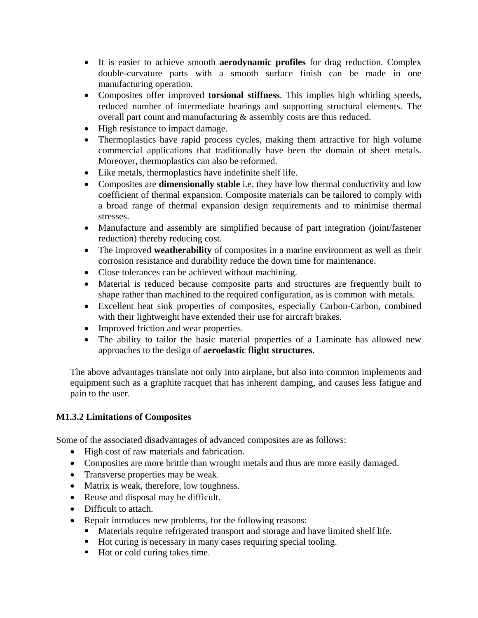- It is easier to achieve smooth **aerodynamic profiles** for drag reduction. Complex double-curvature parts with a smooth surface finish can be made in one manufacturing operation.
- Composites offer improved **torsional stiffness**. This implies high whirling speeds, reduced number of intermediate bearings and supporting structural elements. The overall part count and manufacturing & assembly costs are thus reduced.
- High resistance to impact damage.
- Thermoplastics have rapid process cycles, making them attractive for high volume commercial applications that traditionally have been the domain of sheet metals. Moreover, thermoplastics can also be reformed.
- Like metals, thermoplastics have indefinite shelf life.
- Composites are **dimensionally stable** i.e. they have low thermal conductivity and low coefficient of thermal expansion. Composite materials can be tailored to comply with a broad range of thermal expansion design requirements and to minimise thermal stresses.
- Manufacture and assembly are simplified because of part integration (joint/fastener reduction) thereby reducing cost.
- The improved **weatherability** of composites in a marine environment as well as their corrosion resistance and durability reduce the down time for maintenance.
- Close tolerances can be achieved without machining.
- Material is reduced because composite parts and structures are frequently built to shape rather than machined to the required configuration, as is common with metals.
- Excellent heat sink properties of composites, especially Carbon-Carbon, combined with their lightweight have extended their use for aircraft brakes.
- Improved friction and wear properties.
- The ability to tailor the basic material properties of a Laminate has allowed new approaches to the design of **aeroelastic flight structures**.

The above advantages translate not only into airplane, but also into common implements and equipment such as a graphite racquet that has inherent damping, and causes less fatigue and pain to the user.

#### **M1.3.2 Limitations of Composites**

Some of the associated disadvantages of advanced composites are as follows:

- High cost of raw materials and fabrication.
- Composites are more brittle than wrought metals and thus are more easily damaged.
- Transverse properties may be weak.
- Matrix is weak, therefore, low toughness.
- Reuse and disposal may be difficult.
- Difficult to attach.
- Repair introduces new problems, for the following reasons:
	- Materials require refrigerated transport and storage and have limited shelf life.
	- Hot curing is necessary in many cases requiring special tooling.
	- Hot or cold curing takes time.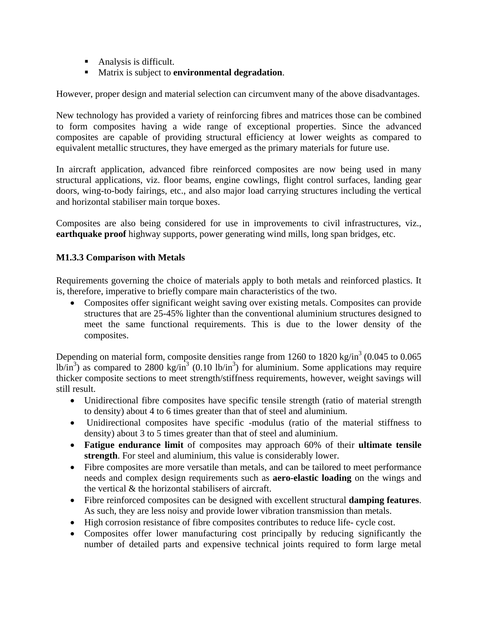- Analysis is difficult.
- Matrix is subject to **environmental degradation**.

However, proper design and material selection can circumvent many of the above disadvantages.

New technology has provided a variety of reinforcing fibres and matrices those can be combined to form composites having a wide range of exceptional properties. Since the advanced composites are capable of providing structural efficiency at lower weights as compared to equivalent metallic structures, they have emerged as the primary materials for future use.

In aircraft application, advanced fibre reinforced composites are now being used in many structural applications, viz. floor beams, engine cowlings, flight control surfaces, landing gear doors, wing-to-body fairings, etc., and also major load carrying structures including the vertical and horizontal stabiliser main torque boxes.

Composites are also being considered for use in improvements to civil infrastructures, viz., **earthquake proof** highway supports, power generating wind mills, long span bridges, etc.

#### **M1.3.3 Comparison with Metals**

Requirements governing the choice of materials apply to both metals and reinforced plastics. It is, therefore, imperative to briefly compare main characteristics of the two.

• Composites offer significant weight saving over existing metals. Composites can provide structures that are 25-45% lighter than the conventional aluminium structures designed to meet the same functional requirements. This is due to the lower density of the composites.

Depending on material form, composite densities range from 1260 to 1820 kg/in<sup>3</sup> (0.045 to 0.065  $lb/in<sup>3</sup>$ ) as compared to 2800 kg/in<sup>3</sup> (0.10 lb/in<sup>3</sup>) for aluminium. Some applications may require thicker composite sections to meet strength/stiffness requirements, however, weight savings will still result.

- Unidirectional fibre composites have specific tensile strength (ratio of material strength to density) about 4 to 6 times greater than that of steel and aluminium.
- Unidirectional composites have specific -modulus (ratio of the material stiffness to density) about 3 to 5 times greater than that of steel and aluminium.
- **Fatigue endurance limit** of composites may approach 60% of their **ultimate tensile strength**. For steel and aluminium, this value is considerably lower.
- Fibre composites are more versatile than metals, and can be tailored to meet performance needs and complex design requirements such as **aero-elastic loading** on the wings and the vertical & the horizontal stabilisers of aircraft.
- Fibre reinforced composites can be designed with excellent structural **damping features**. As such, they are less noisy and provide lower vibration transmission than metals.
- High corrosion resistance of fibre composites contributes to reduce life- cycle cost.
- Composites offer lower manufacturing cost principally by reducing significantly the number of detailed parts and expensive technical joints required to form large metal